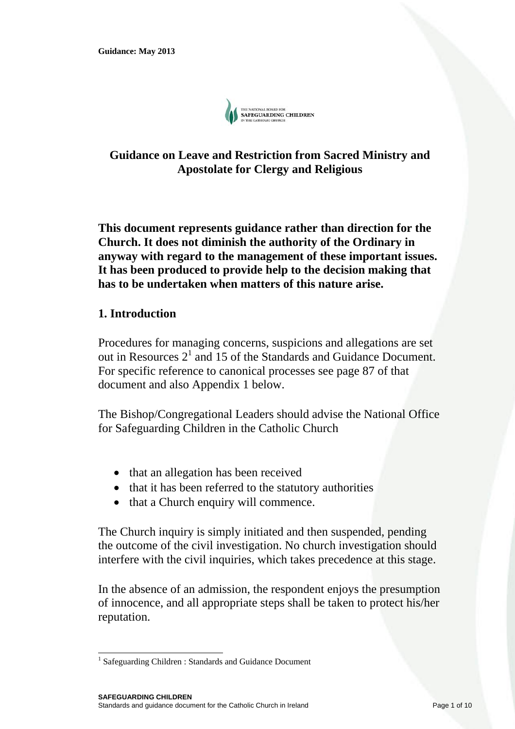

# **Guidance on Leave and Restriction from Sacred Ministry and Apostolate for Clergy and Religious**

**This document represents guidance rather than direction for the Church. It does not diminish the authority of the Ordinary in anyway with regard to the management of these important issues. It has been produced to provide help to the decision making that has to be undertaken when matters of this nature arise.** 

## **1. Introduction**

l

Procedures for managing concerns, suspicions and allegations are set out in Resources  $2<sup>1</sup>$  and 15 of the Standards and Guidance Document. For specific reference to canonical processes see page 87 of that document and also Appendix 1 below.

The Bishop/Congregational Leaders should advise the National Office for Safeguarding Children in the Catholic Church

- that an allegation has been received
- that it has been referred to the statutory authorities
- that a Church enquiry will commence.

The Church inquiry is simply initiated and then suspended, pending the outcome of the civil investigation. No church investigation should interfere with the civil inquiries, which takes precedence at this stage.

In the absence of an admission, the respondent enjoys the presumption of innocence, and all appropriate steps shall be taken to protect his/her reputation.

<sup>&</sup>lt;sup>1</sup> Safeguarding Children: Standards and Guidance Document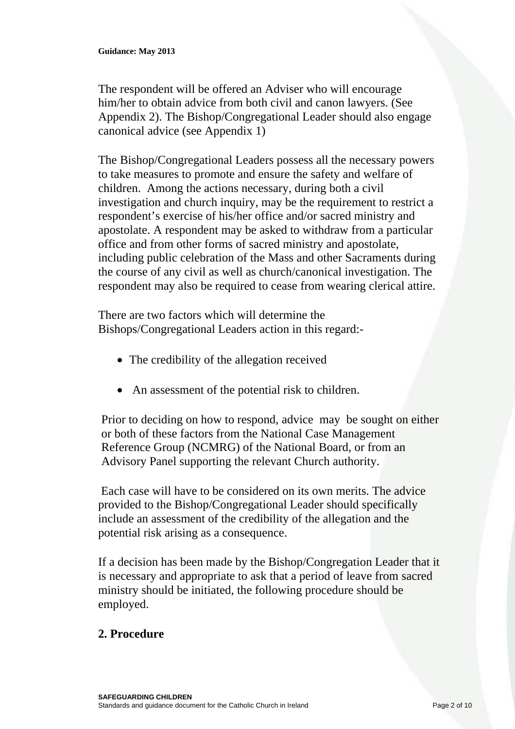The respondent will be offered an Adviser who will encourage him/her to obtain advice from both civil and canon lawyers. (See Appendix 2). The Bishop/Congregational Leader should also engage canonical advice (see Appendix 1)

The Bishop/Congregational Leaders possess all the necessary powers to take measures to promote and ensure the safety and welfare of children. Among the actions necessary, during both a civil investigation and church inquiry, may be the requirement to restrict a respondent's exercise of his/her office and/or sacred ministry and apostolate. A respondent may be asked to withdraw from a particular office and from other forms of sacred ministry and apostolate, including public celebration of the Mass and other Sacraments during the course of any civil as well as church/canonical investigation. The respondent may also be required to cease from wearing clerical attire.

There are two factors which will determine the Bishops/Congregational Leaders action in this regard:-

- The credibility of the allegation received
- An assessment of the potential risk to children.

Prior to deciding on how to respond, advice may be sought on either or both of these factors from the National Case Management Reference Group (NCMRG) of the National Board, or from an Advisory Panel supporting the relevant Church authority.

 Each case will have to be considered on its own merits. The advice provided to the Bishop/Congregational Leader should specifically include an assessment of the credibility of the allegation and the potential risk arising as a consequence.

If a decision has been made by the Bishop/Congregation Leader that it is necessary and appropriate to ask that a period of leave from sacred ministry should be initiated, the following procedure should be employed.

# **2. Procedure**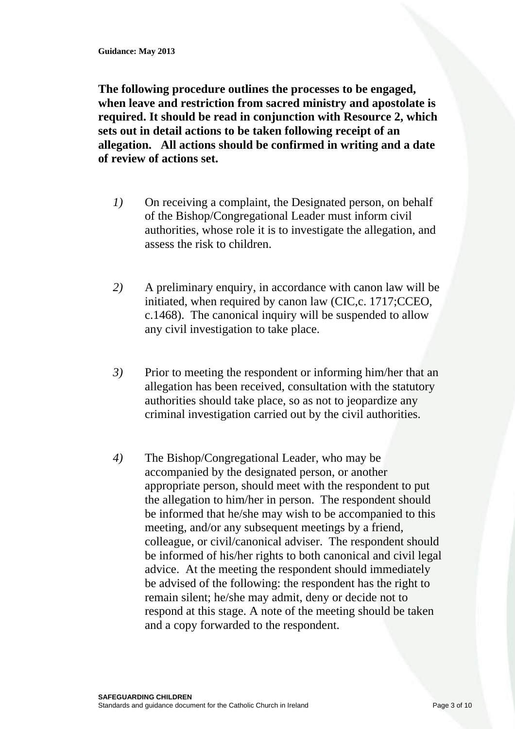**The following procedure outlines the processes to be engaged, when leave and restriction from sacred ministry and apostolate is required. It should be read in conjunction with Resource 2, which sets out in detail actions to be taken following receipt of an allegation. All actions should be confirmed in writing and a date of review of actions set.** 

- *1)* On receiving a complaint, the Designated person, on behalf of the Bishop/Congregational Leader must inform civil authorities, whose role it is to investigate the allegation, and assess the risk to children.
- *2)* A preliminary enquiry, in accordance with canon law will be initiated, when required by canon law (CIC,c. 1717;CCEO, c.1468). The canonical inquiry will be suspended to allow any civil investigation to take place.
- *3)* Prior to meeting the respondent or informing him/her that an allegation has been received, consultation with the statutory authorities should take place, so as not to jeopardize any criminal investigation carried out by the civil authorities.
- *4)* The Bishop/Congregational Leader, who may be accompanied by the designated person, or another appropriate person, should meet with the respondent to put the allegation to him/her in person. The respondent should be informed that he/she may wish to be accompanied to this meeting, and/or any subsequent meetings by a friend, colleague, or civil/canonical adviser. The respondent should be informed of his/her rights to both canonical and civil legal advice. At the meeting the respondent should immediately be advised of the following: the respondent has the right to remain silent; he/she may admit, deny or decide not to respond at this stage. A note of the meeting should be taken and a copy forwarded to the respondent.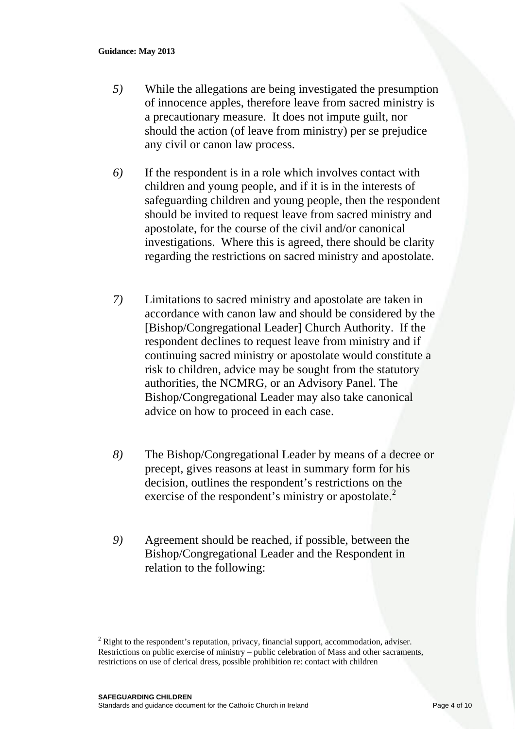- *5)* While the allegations are being investigated the presumption of innocence apples, therefore leave from sacred ministry is a precautionary measure. It does not impute guilt, nor should the action (of leave from ministry) per se prejudice any civil or canon law process.
- *6)* If the respondent is in a role which involves contact with children and young people, and if it is in the interests of safeguarding children and young people, then the respondent should be invited to request leave from sacred ministry and apostolate, for the course of the civil and/or canonical investigations. Where this is agreed, there should be clarity regarding the restrictions on sacred ministry and apostolate.
- *7)* Limitations to sacred ministry and apostolate are taken in accordance with canon law and should be considered by the [Bishop/Congregational Leader] Church Authority. If the respondent declines to request leave from ministry and if continuing sacred ministry or apostolate would constitute a risk to children, advice may be sought from the statutory authorities, the NCMRG, or an Advisory Panel. The Bishop/Congregational Leader may also take canonical advice on how to proceed in each case.
- *8)* The Bishop/Congregational Leader by means of a decree or precept, gives reasons at least in summary form for his decision, outlines the respondent's restrictions on the exercise of the respondent's ministry or apostolate.<sup>2</sup>
- *9)* Agreement should be reached, if possible, between the Bishop/Congregational Leader and the Respondent in relation to the following:

l

 $2$  Right to the respondent's reputation, privacy, financial support, accommodation, adviser. Restrictions on public exercise of ministry – public celebration of Mass and other sacraments, restrictions on use of clerical dress, possible prohibition re: contact with children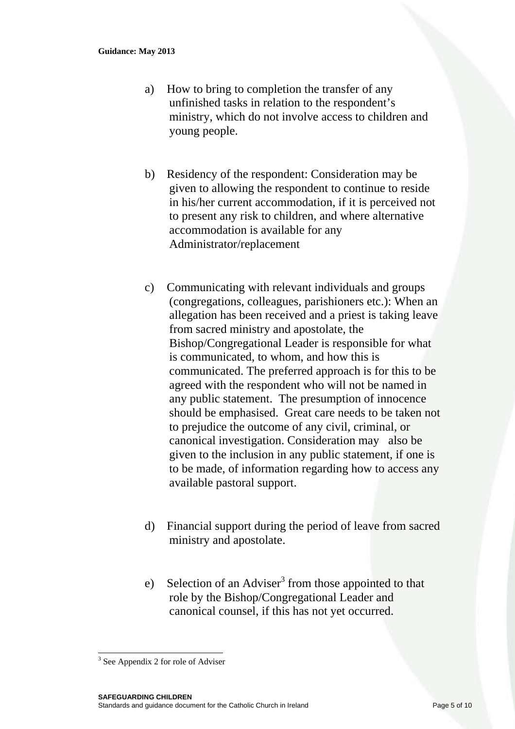- a) How to bring to completion the transfer of any unfinished tasks in relation to the respondent's ministry, which do not involve access to children and young people.
- b) Residency of the respondent: Consideration may be given to allowing the respondent to continue to reside in his/her current accommodation, if it is perceived not to present any risk to children, and where alternative accommodation is available for any Administrator/replacement
- c) Communicating with relevant individuals and groups (congregations, colleagues, parishioners etc.): When an allegation has been received and a priest is taking leave from sacred ministry and apostolate, the Bishop/Congregational Leader is responsible for what is communicated, to whom, and how this is communicated. The preferred approach is for this to be agreed with the respondent who will not be named in any public statement. The presumption of innocence should be emphasised. Great care needs to be taken not to prejudice the outcome of any civil, criminal, or canonical investigation. Consideration may also be given to the inclusion in any public statement, if one is to be made, of information regarding how to access any available pastoral support.
- d) Financial support during the period of leave from sacred ministry and apostolate.
- e) Selection of an Adviser<sup>3</sup> from those appointed to that role by the Bishop/Congregational Leader and canonical counsel, if this has not yet occurred.

l

<sup>&</sup>lt;sup>3</sup> See Appendix 2 for role of Adviser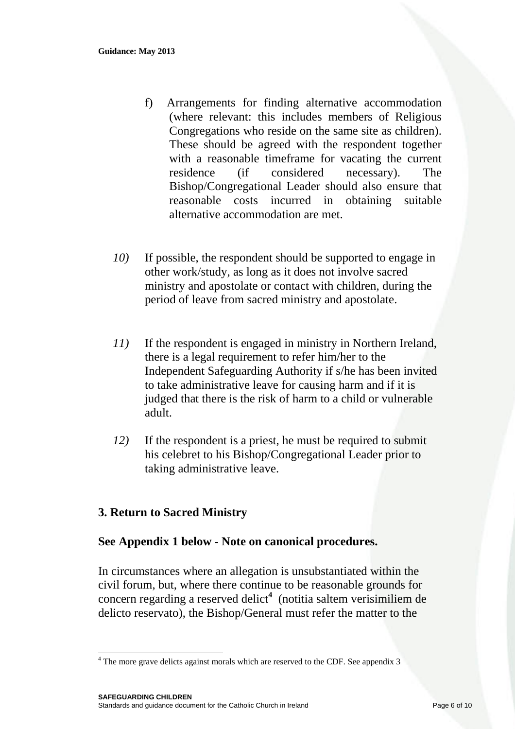- f) Arrangements for finding alternative accommodation (where relevant: this includes members of Religious Congregations who reside on the same site as children). These should be agreed with the respondent together with a reasonable timeframe for vacating the current residence (if considered necessary). The Bishop/Congregational Leader should also ensure that reasonable costs incurred in obtaining suitable alternative accommodation are met.
- *10)* If possible, the respondent should be supported to engage in other work/study, as long as it does not involve sacred ministry and apostolate or contact with children, during the period of leave from sacred ministry and apostolate.
- *11)* If the respondent is engaged in ministry in Northern Ireland, there is a legal requirement to refer him/her to the Independent Safeguarding Authority if s/he has been invited to take administrative leave for causing harm and if it is judged that there is the risk of harm to a child or vulnerable adult.
- *12)* If the respondent is a priest, he must be required to submit his celebret to his Bishop/Congregational Leader prior to taking administrative leave.

# **3. Return to Sacred Ministry**

l

### **See Appendix 1 below - Note on canonical procedures.**

In circumstances where an allegation is unsubstantiated within the civil forum, but, where there continue to be reasonable grounds for concern regarding a reserved delict**<sup>4</sup>** (notitia saltem verisimiliem de delicto reservato), the Bishop/General must refer the matter to the

 $4$  The more grave delicts against morals which are reserved to the CDF. See appendix 3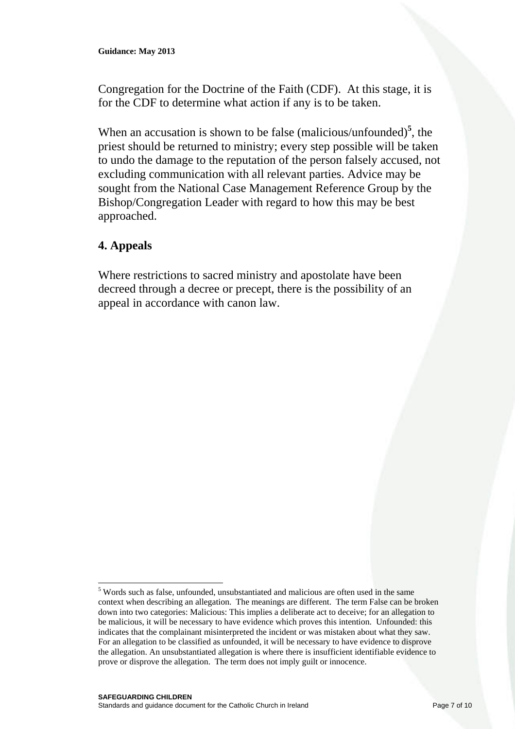Congregation for the Doctrine of the Faith (CDF). At this stage, it is for the CDF to determine what action if any is to be taken.

When an accusation is shown to be false (malicious/unfounded)<sup>5</sup>, the priest should be returned to ministry; every step possible will be taken to undo the damage to the reputation of the person falsely accused, not excluding communication with all relevant parties. Advice may be sought from the National Case Management Reference Group by the Bishop/Congregation Leader with regard to how this may be best approached.

# **4. Appeals**

l

Where restrictions to sacred ministry and apostolate have been decreed through a decree or precept, there is the possibility of an appeal in accordance with canon law.

<sup>&</sup>lt;sup>5</sup> Words such as false, unfounded, unsubstantiated and malicious are often used in the same context when describing an allegation. The meanings are different. The term False can be broken down into two categories: Malicious: This implies a deliberate act to deceive; for an allegation to be malicious, it will be necessary to have evidence which proves this intention. Unfounded: this indicates that the complainant misinterpreted the incident or was mistaken about what they saw. For an allegation to be classified as unfounded, it will be necessary to have evidence to disprove the allegation. An unsubstantiated allegation is where there is insufficient identifiable evidence to prove or disprove the allegation. The term does not imply guilt or innocence.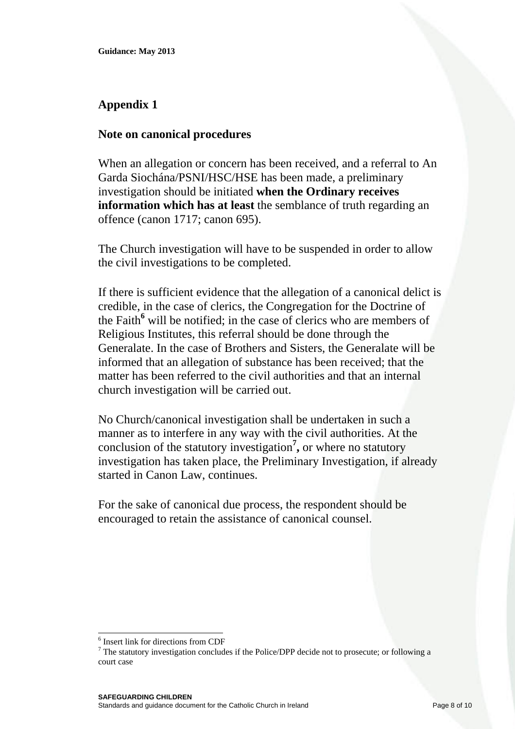# **Appendix 1**

## **Note on canonical procedures**

When an allegation or concern has been received, and a referral to An Garda Siochána/PSNI/HSC/HSE has been made, a preliminary investigation should be initiated **when the Ordinary receives information which has at least** the semblance of truth regarding an offence (canon 1717; canon 695).

The Church investigation will have to be suspended in order to allow the civil investigations to be completed.

If there is sufficient evidence that the allegation of a canonical delict is credible, in the case of clerics, the Congregation for the Doctrine of the Faith**<sup>6</sup>** will be notified; in the case of clerics who are members of Religious Institutes, this referral should be done through the Generalate. In the case of Brothers and Sisters, the Generalate will be informed that an allegation of substance has been received; that the matter has been referred to the civil authorities and that an internal church investigation will be carried out.

No Church/canonical investigation shall be undertaken in such a manner as to interfere in any way with the civil authorities. At the conclusion of the statutory investigation**<sup>7</sup> ,** or where no statutory investigation has taken place, the Preliminary Investigation, if already started in Canon Law, continues.

For the sake of canonical due process, the respondent should be encouraged to retain the assistance of canonical counsel.

l 6 Insert link for directions from CDF

 $<sup>7</sup>$  The statutory investigation concludes if the Police/DPP decide not to prosecute; or following a</sup> court case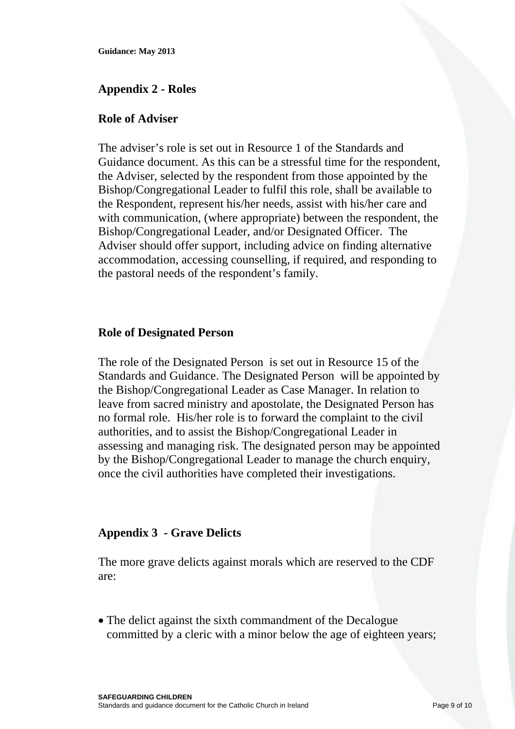**Guidance: May 2013** 

## **Appendix 2 - Roles**

#### **Role of Adviser**

The adviser's role is set out in Resource 1 of the Standards and Guidance document. As this can be a stressful time for the respondent, the Adviser, selected by the respondent from those appointed by the Bishop/Congregational Leader to fulfil this role, shall be available to the Respondent, represent his/her needs, assist with his/her care and with communication, (where appropriate) between the respondent, the Bishop/Congregational Leader, and/or Designated Officer. The Adviser should offer support, including advice on finding alternative accommodation, accessing counselling, if required, and responding to the pastoral needs of the respondent's family.

#### **Role of Designated Person**

The role of the Designated Person is set out in Resource 15 of the Standards and Guidance. The Designated Person will be appointed by the Bishop/Congregational Leader as Case Manager. In relation to leave from sacred ministry and apostolate, the Designated Person has no formal role. His/her role is to forward the complaint to the civil authorities, and to assist the Bishop/Congregational Leader in assessing and managing risk. The designated person may be appointed by the Bishop/Congregational Leader to manage the church enquiry, once the civil authorities have completed their investigations.

### **Appendix 3 - Grave Delicts**

The more grave delicts against morals which are reserved to the CDF are:

• The delict against the sixth commandment of the Decalogue committed by a cleric with a minor below the age of eighteen years;